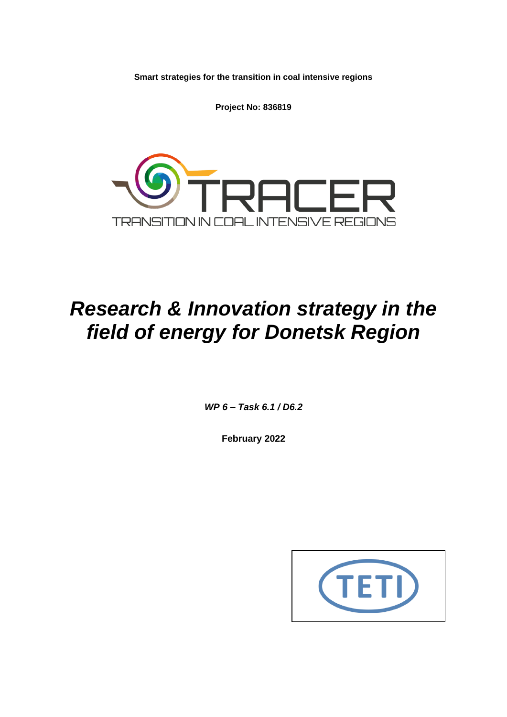**Smart strategies for the transition in coal intensive regions**

**Project No: 836819**



# *Research & Innovation strategy in the field of energy for Donetsk Region*

*WP 6 – Task 6.1 / D6.2*

**February 2022**

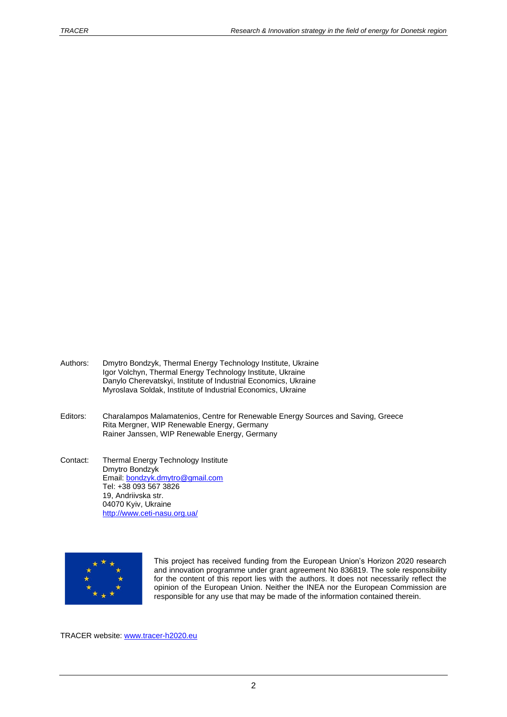- Authors: Dmytro Bondzyk, Thermal Energy Technology Institute, Ukraine Igor Volchyn, Thermal Energy Technology Institute, Ukraine Danylo Cherevatskyi, Institute of Industrial Economics, Ukraine Myroslava Soldak, Institute of Industrial Economics, Ukraine
- Editors: Charalampos Malamatenios, Centre for Renewable Energy Sources and Saving, Greece Rita Mergner, WIP Renewable Energy, Germany Rainer Janssen, WIP Renewable Energy, Germany
- Contact: Thermal Energy Technology Institute Dmytro Bondzyk Email: bondzyk.dmytro@gmail.com Tel: +38 093 567 3826 19, Andriivska str. 04070 Kyiv, Ukraine <http://www.ceti-nasu.org.ua/>



This project has received funding from the European Union's Horizon 2020 research and innovation programme under grant agreement No 836819. The sole responsibility for the content of this report lies with the authors. It does not necessarily reflect the opinion of the European Union. Neither the INEA nor the European Commission are responsible for any use that may be made of the information contained therein.

TRACER website: [www.tracer-h2020.eu](http://www.tracer-h2020.eu/)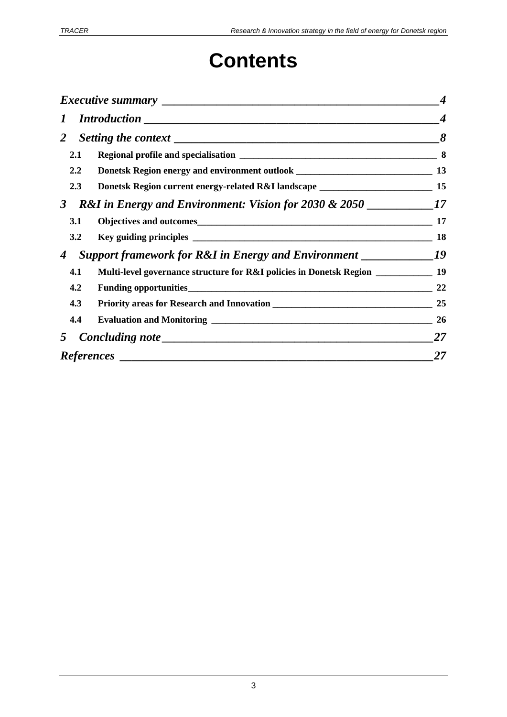# **Contents**

| $\bm{I}$         |                                                                                               | $\boldsymbol{4}$ |
|------------------|-----------------------------------------------------------------------------------------------|------------------|
| $\overline{2}$   |                                                                                               | 8                |
| 2.1              |                                                                                               |                  |
| $2.2\phantom{0}$ |                                                                                               |                  |
| 2.3              | Donetsk Region current energy-related R&I landscape ____________________________              | 15               |
| 3 <sup>7</sup>   |                                                                                               |                  |
| <b>3.1</b>       |                                                                                               |                  |
| 3.2              |                                                                                               | 18               |
| $\boldsymbol{4}$ | <b>Support framework for R&amp;I in Energy and Environment</b> ____________________________19 |                  |
| 4.1              | Multi-level governance structure for R&I policies in Donetsk Region _____________ 19          |                  |
| 4.2              |                                                                                               | 22               |
| 4.3              |                                                                                               | 25               |
| 4.4              |                                                                                               | 26               |
| $5^{\circ}$      |                                                                                               | 27               |
|                  |                                                                                               | 27               |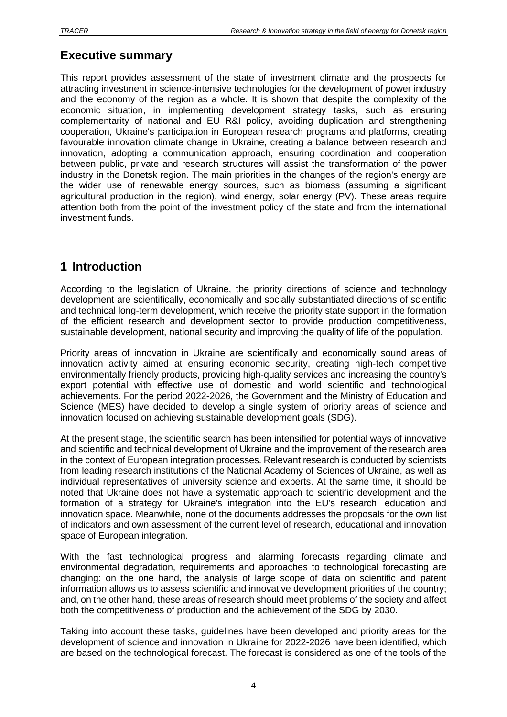# <span id="page-3-0"></span>**Executive summary**

This report provides assessment of the state of investment climate and the prospects for attracting investment in science-intensive technologies for the development of power industry and the economy of the region as a whole. It is shown that despite the complexity of the economic situation, in implementing development strategy tasks, such as ensuring complementarity of national and EU R&I policy, avoiding duplication and strengthening cooperation, Ukraine's participation in European research programs and platforms, creating favourable innovation climate change in Ukraine, creating a balance between research and innovation, adopting a communication approach, ensuring coordination and cooperation between public, private and research structures will assist the transformation of the power industry in the Donetsk region. The main priorities in the changes of the region's energy are the wider use of renewable energy sources, such as biomass (assuming a significant agricultural production in the region), wind energy, solar energy (PV). These areas require attention both from the point of the investment policy of the state and from the international investment funds.

## <span id="page-3-1"></span>**1 Introduction**

According to the legislation of Ukraine, the priority directions of science and technology development are scientifically, economically and socially substantiated directions of scientific and technical long-term development, which receive the priority state support in the formation of the efficient research and development sector to provide production competitiveness, sustainable development, national security and improving the quality of life of the population.

Priority areas of innovation in Ukraine are scientifically and economically sound areas of innovation activity aimed at ensuring economic security, creating high-tech competitive environmentally friendly products, providing high-quality services and increasing the country's export potential with effective use of domestic and world scientific and technological achievements. For the period 2022-2026, the Government and the Ministry of Education and Science (MES) have decided to develop a single system of priority areas of science and innovation focused on achieving sustainable development goals (SDG).

At the present stage, the scientific search has been intensified for potential ways of innovative and scientific and technical development of Ukraine and the improvement of the research area in the context of European integration processes. Relevant research is conducted by scientists from leading research institutions of the National Academy of Sciences of Ukraine, as well as individual representatives of university science and experts. At the same time, it should be noted that Ukraine does not have a systematic approach to scientific development and the formation of a strategy for Ukraine's integration into the EU's research, education and innovation space. Meanwhile, none of the documents addresses the proposals for the own list of indicators and own assessment of the current level of research, educational and innovation space of European integration.

With the fast technological progress and alarming forecasts regarding climate and environmental degradation, requirements and approaches to technological forecasting are changing: on the one hand, the analysis of large scope of data on scientific and patent information allows us to assess scientific and innovative development priorities of the country; and, on the other hand, these areas of research should meet problems of the society and affect both the competitiveness of production and the achievement of the SDG by 2030.

Taking into account these tasks, guidelines have been developed and priority areas for the development of science and innovation in Ukraine for 2022-2026 have been identified, which are based on the technological forecast. The forecast is considered as one of the tools of the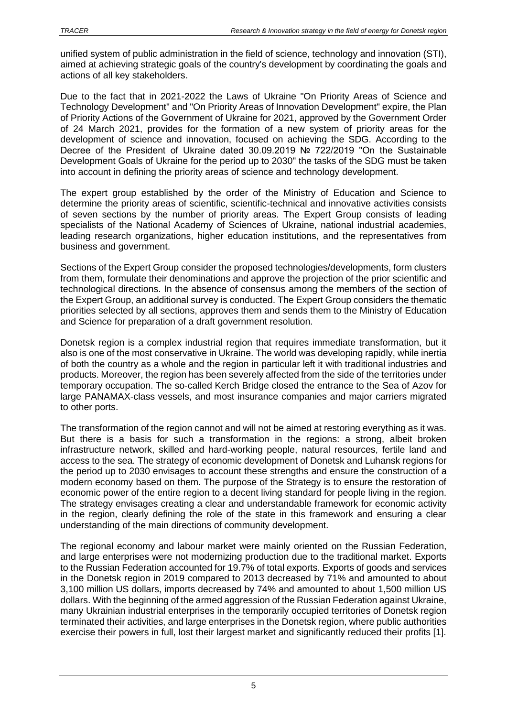unified system of public administration in the field of science, technology and innovation (STI), aimed at achieving strategic goals of the country's development by coordinating the goals and actions of all key stakeholders.

Due to the fact that in 2021-2022 the Laws of Ukraine "On Priority Areas of Science and Technology Development" and "On Priority Areas of Innovation Development" expire, the Plan of Priority Actions of the Government of Ukraine for 2021, approved by the Government Order of 24 March 2021, provides for the formation of a new system of priority areas for the development of science and innovation, focused on achieving the SDG. According to the Decree of the President of Ukraine dated 30.09.2019 № 722/2019 "On the Sustainable Development Goals of Ukraine for the period up to 2030" the tasks of the SDG must be taken into account in defining the priority areas of science and technology development.

The expert group established by the order of the Ministry of Education and Science to determine the priority areas of scientific, scientific-technical and innovative activities consists of seven sections by the number of priority areas. The Expert Group consists of leading specialists of the National Academy of Sciences of Ukraine, national industrial academies, leading research organizations, higher education institutions, and the representatives from business and government.

Sections of the Expert Group consider the proposed technologies/developments, form clusters from them, formulate their denominations and approve the projection of the prior scientific and technological directions. In the absence of consensus among the members of the section of the Expert Group, an additional survey is conducted. The Expert Group considers the thematic priorities selected by all sections, approves them and sends them to the Ministry of Education and Science for preparation of a draft government resolution.

Donetsk region is a complex industrial region that requires immediate transformation, but it also is one of the most conservative in Ukraine. The world was developing rapidly, while inertia of both the country as a whole and the region in particular left it with traditional industries and products. Moreover, the region has been severely affected from the side of the territories under temporary occupation. The so-called Kerch Bridge closed the entrance to the Sea of Azov for large PANAMAX-class vessels, and most insurance companies and major carriers migrated to other ports.

The transformation of the region cannot and will not be aimed at restoring everything as it was. But there is a basis for such a transformation in the regions: a strong, albeit broken infrastructure network, skilled and hard-working people, natural resources, fertile land and access to the sea. The strategy of economic development of Donetsk and Luhansk regions for the period up to 2030 envisages to account these strengths and ensure the construction of a modern economy based on them. The purpose of the Strategy is to ensure the restoration of economic power of the entire region to a decent living standard for people living in the region. The strategy envisages creating a clear and understandable framework for economic activity in the region, clearly defining the role of the state in this framework and ensuring a clear understanding of the main directions of community development.

The regional economy and labour market were mainly oriented on the Russian Federation, and large enterprises were not modernizing production due to the traditional market. Exports to the Russian Federation accounted for 19.7% of total exports. Exports of goods and services in the Donetsk region in 2019 compared to 2013 decreased by 71% and amounted to about 3,100 million US dollars, imports decreased by 74% and amounted to about 1,500 million US dollars. With the beginning of the armed aggression of the Russian Federation against Ukraine, many Ukrainian industrial enterprises in the temporarily occupied territories of Donetsk region terminated their activities, and large enterprises in the Donetsk region, where public authorities exercise their powers in full, lost their largest market and significantly reduced their profits [1].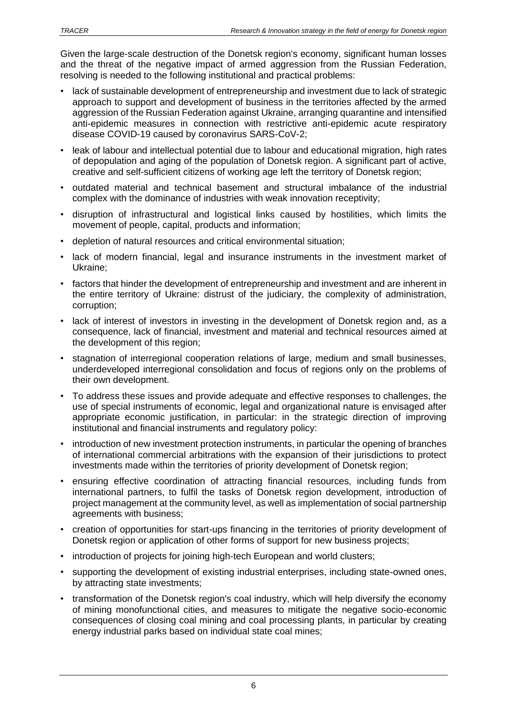Given the large-scale destruction of the Donetsk region's economy, significant human losses and the threat of the negative impact of armed aggression from the Russian Federation, resolving is needed to the following institutional and practical problems:

- lack of sustainable development of entrepreneurship and investment due to lack of strategic approach to support and development of business in the territories affected by the armed aggression of the Russian Federation against Ukraine, arranging quarantine and intensified anti-epidemic measures in connection with restrictive anti-epidemic acute respiratory disease COVID-19 caused by coronavirus SARS-CoV-2;
- leak of labour and intellectual potential due to labour and educational migration, high rates of depopulation and aging of the population of Donetsk region. A significant part of active, creative and self-sufficient citizens of working age left the territory of Donetsk region;
- outdated material and technical basement and structural imbalance of the industrial complex with the dominance of industries with weak innovation receptivity;
- disruption of infrastructural and logistical links caused by hostilities, which limits the movement of people, capital, products and information;
- depletion of natural resources and critical environmental situation;
- lack of modern financial, legal and insurance instruments in the investment market of Ukraine;
- factors that hinder the development of entrepreneurship and investment and are inherent in the entire territory of Ukraine: distrust of the judiciary, the complexity of administration, corruption;
- lack of interest of investors in investing in the development of Donetsk region and, as a consequence, lack of financial, investment and material and technical resources aimed at the development of this region;
- stagnation of interregional cooperation relations of large, medium and small businesses, underdeveloped interregional consolidation and focus of regions only on the problems of their own development.
- To address these issues and provide adequate and effective responses to challenges, the use of special instruments of economic, legal and organizational nature is envisaged after appropriate economic justification, in particular: in the strategic direction of improving institutional and financial instruments and regulatory policy:
- introduction of new investment protection instruments, in particular the opening of branches of international commercial arbitrations with the expansion of their jurisdictions to protect investments made within the territories of priority development of Donetsk region;
- ensuring effective coordination of attracting financial resources, including funds from international partners, to fulfil the tasks of Donetsk region development, introduction of project management at the community level, as well as implementation of social partnership agreements with business;
- creation of opportunities for start-ups financing in the territories of priority development of Donetsk region or application of other forms of support for new business projects;
- introduction of projects for joining high-tech European and world clusters:
- supporting the development of existing industrial enterprises, including state-owned ones, by attracting state investments;
- transformation of the Donetsk region's coal industry, which will help diversify the economy of mining monofunctional cities, and measures to mitigate the negative socio-economic consequences of closing coal mining and coal processing plants, in particular by creating energy industrial parks based on individual state coal mines;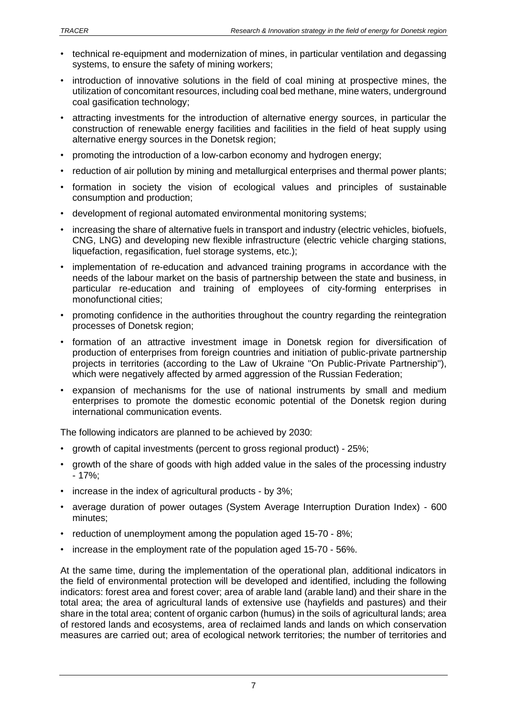- technical re-equipment and modernization of mines, in particular ventilation and degassing systems, to ensure the safety of mining workers;
- introduction of innovative solutions in the field of coal mining at prospective mines, the utilization of concomitant resources, including coal bed methane, mine waters, underground coal gasification technology;
- attracting investments for the introduction of alternative energy sources, in particular the construction of renewable energy facilities and facilities in the field of heat supply using alternative energy sources in the Donetsk region;
- promoting the introduction of a low-carbon economy and hydrogen energy;
- reduction of air pollution by mining and metallurgical enterprises and thermal power plants;
- formation in society the vision of ecological values and principles of sustainable consumption and production;
- development of regional automated environmental monitoring systems;
- increasing the share of alternative fuels in transport and industry (electric vehicles, biofuels, CNG, LNG) and developing new flexible infrastructure (electric vehicle charging stations, liquefaction, regasification, fuel storage systems, etc.);
- implementation of re-education and advanced training programs in accordance with the needs of the labour market on the basis of partnership between the state and business, in particular re-education and training of employees of city-forming enterprises in monofunctional cities;
- promoting confidence in the authorities throughout the country regarding the reintegration processes of Donetsk region;
- formation of an attractive investment image in Donetsk region for diversification of production of enterprises from foreign countries and initiation of public-private partnership projects in territories (according to the Law of Ukraine "On Public-Private Partnership"), which were negatively affected by armed aggression of the Russian Federation;
- expansion of mechanisms for the use of national instruments by small and medium enterprises to promote the domestic economic potential of the Donetsk region during international communication events.

The following indicators are planned to be achieved by 2030:

- growth of capital investments (percent to gross regional product) 25%;
- growth of the share of goods with high added value in the sales of the processing industry - 17%;
- increase in the index of agricultural products by 3%;
- average duration of power outages (System Average Interruption Duration Index) 600 minutes;
- reduction of unemployment among the population aged 15-70 8%;
- increase in the employment rate of the population aged 15-70 56%.

At the same time, during the implementation of the operational plan, additional indicators in the field of environmental protection will be developed and identified, including the following indicators: forest area and forest cover; area of arable land (arable land) and their share in the total area; the area of agricultural lands of extensive use (hayfields and pastures) and their share in the total area; content of organic carbon (humus) in the soils of agricultural lands; area of restored lands and ecosystems, area of reclaimed lands and lands on which conservation measures are carried out; area of ecological network territories; the number of territories and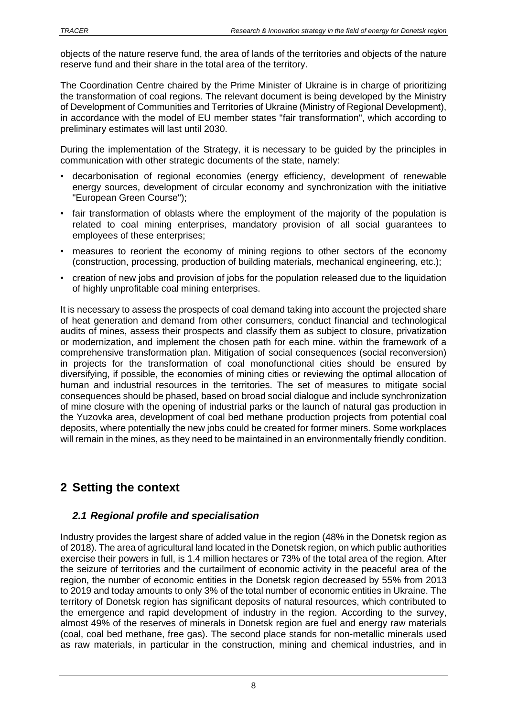objects of the nature reserve fund, the area of lands of the territories and objects of the nature reserve fund and their share in the total area of the territory.

The Coordination Centre chaired by the Prime Minister of Ukraine is in charge of prioritizing the transformation of coal regions. The relevant document is being developed by the Ministry of Development of Communities and Territories of Ukraine (Ministry of Regional Development), in accordance with the model of EU member states "fair transformation", which according to preliminary estimates will last until 2030.

During the implementation of the Strategy, it is necessary to be guided by the principles in communication with other strategic documents of the state, namely:

- decarbonisation of regional economies (energy efficiency, development of renewable energy sources, development of circular economy and synchronization with the initiative "European Green Course");
- fair transformation of oblasts where the employment of the majority of the population is related to coal mining enterprises, mandatory provision of all social guarantees to employees of these enterprises;
- measures to reorient the economy of mining regions to other sectors of the economy (construction, processing, production of building materials, mechanical engineering, etc.);
- creation of new jobs and provision of jobs for the population released due to the liquidation of highly unprofitable coal mining enterprises.

It is necessary to assess the prospects of coal demand taking into account the projected share of heat generation and demand from other consumers, conduct financial and technological audits of mines, assess their prospects and classify them as subject to closure, privatization or modernization, and implement the chosen path for each mine. within the framework of a comprehensive transformation plan. Mitigation of social consequences (social reconversion) in projects for the transformation of coal monofunctional cities should be ensured by diversifying, if possible, the economies of mining cities or reviewing the optimal allocation of human and industrial resources in the territories. The set of measures to mitigate social consequences should be phased, based on broad social dialogue and include synchronization of mine closure with the opening of industrial parks or the launch of natural gas production in the Yuzovka area, development of coal bed methane production projects from potential coal deposits, where potentially the new jobs could be created for former miners. Some workplaces will remain in the mines, as they need to be maintained in an environmentally friendly condition.

# <span id="page-7-0"></span>**2 Setting the context**

## <span id="page-7-1"></span>*2.1 Regional profile and specialisation*

Industry provides the largest share of added value in the region (48% in the Donetsk region as of 2018). The area of agricultural land located in the Donetsk region, on which public authorities exercise their powers in full, is 1.4 million hectares or 73% of the total area of the region. After the seizure of territories and the curtailment of economic activity in the peaceful area of the region, the number of economic entities in the Donetsk region decreased by 55% from 2013 to 2019 and today amounts to only 3% of the total number of economic entities in Ukraine. The territory of Donetsk region has significant deposits of natural resources, which contributed to the emergence and rapid development of industry in the region. According to the survey, almost 49% of the reserves of minerals in Donetsk region are fuel and energy raw materials (coal, coal bed methane, free gas). The second place stands for non-metallic minerals used as raw materials, in particular in the construction, mining and chemical industries, and in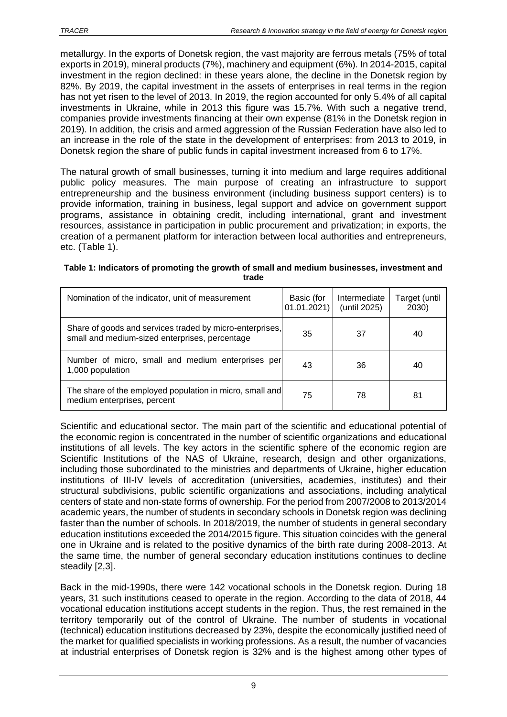metallurgy. In the exports of Donetsk region, the vast majority are ferrous metals (75% of total exports in 2019), mineral products (7%), machinery and equipment (6%). In 2014-2015, capital investment in the region declined: in these years alone, the decline in the Donetsk region by 82%. By 2019, the capital investment in the assets of enterprises in real terms in the region has not yet risen to the level of 2013. In 2019, the region accounted for only 5.4% of all capital investments in Ukraine, while in 2013 this figure was 15.7%. With such a negative trend, companies provide investments financing at their own expense (81% in the Donetsk region in 2019). In addition, the crisis and armed aggression of the Russian Federation have also led to an increase in the role of the state in the development of enterprises: from 2013 to 2019, in Donetsk region the share of public funds in capital investment increased from 6 to 17%.

The natural growth of small businesses, turning it into medium and large requires additional public policy measures. The main purpose of creating an infrastructure to support entrepreneurship and the business environment (including business support centers) is to provide information, training in business, legal support and advice on government support programs, assistance in obtaining credit, including international, grant and investment resources, assistance in participation in public procurement and privatization; in exports, the creation of a permanent platform for interaction between local authorities and entrepreneurs, etc. (Table 1).

| trade                                            |                                                          |                        |
|--------------------------------------------------|----------------------------------------------------------|------------------------|
| Nomination of the indicator, unit of measurement | Basic (for   Intermediate<br>$ 01.01.2021 $ (until 2025) | Target (until<br>2030) |
|                                                  |                                                          |                        |

small and medium-sized enterprises, percentage  $\begin{array}{|l|l|} \hline \end{array}$  35  $\begin{array}{|l|} \hline \end{array}$  37  $\begin{array}{|l|} \hline \end{array}$  40

Number of micro, small and medium enterprises per <br>1,000 population  $\begin{array}{|l|l|}\n1,000$  population

me share of the employed population in micro, small and<br>medium enterprises, percent

Share of goods and services traded by micro-enterprises,

The share of the employed population in micro, small and

| Table 1: Indicators of promoting the growth of small and medium businesses, investment and |
|--------------------------------------------------------------------------------------------|
| trade                                                                                      |

Scientific and educational sector. The main part of the scientific and educational potential of the economic region is concentrated in the number of scientific organizations and educational institutions of all levels. The key actors in the scientific sphere of the economic region are Scientific Institutions of the NAS of Ukraine, research, design and other organizations, including those subordinated to the ministries and departments of Ukraine, higher education institutions of III-IV levels of accreditation (universities, academies, institutes) and their structural subdivisions, public scientific organizations and associations, including analytical centers of state and non-state forms of ownership. For the period from 2007/2008 to 2013/2014 academic years, the number of students in secondary schools in Donetsk region was declining faster than the number of schools. In 2018/2019, the number of students in general secondary education institutions exceeded the 2014/2015 figure. This situation coincides with the general one in Ukraine and is related to the positive dynamics of the birth rate during 2008-2013. At the same time, the number of general secondary education institutions continues to decline steadily [2,3].

Back in the mid-1990s, there were 142 vocational schools in the Donetsk region. During 18 years, 31 such institutions ceased to operate in the region. According to the data of 2018, 44 vocational education institutions accept students in the region. Thus, the rest remained in the territory temporarily out of the control of Ukraine. The number of students in vocational (technical) education institutions decreased by 23%, despite the economically justified need of the market for qualified specialists in working professions. As a result, the number of vacancies at industrial enterprises of Donetsk region is 32% and is the highest among other types of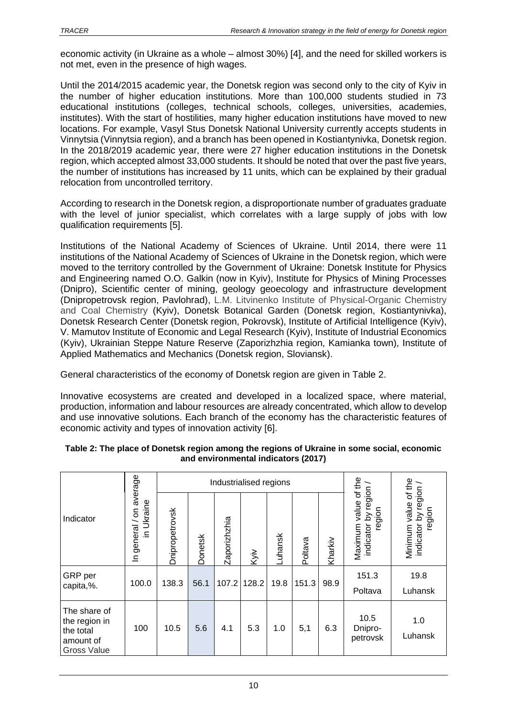economic activity (in Ukraine as a whole – almost 30%) [4], and the need for skilled workers is not met, even in the presence of high wages.

Until the 2014/2015 academic year, the Donetsk region was second only to the city of Kyiv in the number of higher education institutions. More than 100,000 students studied in 73 educational institutions (colleges, technical schools, colleges, universities, academies, institutes). With the start of hostilities, many higher education institutions have moved to new locations. For example, Vasyl Stus Donetsk National University currently accepts students in Vinnytsia (Vinnytsia region), and a branch has been opened in Kostiantynivka, Donetsk region. In the 2018/2019 academic year, there were 27 higher education institutions in the Donetsk region, which accepted almost 33,000 students. It should be noted that over the past five years, the number of institutions has increased by 11 units, which can be explained by their gradual relocation from uncontrolled territory.

According to research in the Donetsk region, a disproportionate number of graduates graduate with the level of junior specialist, which correlates with a large supply of jobs with low qualification requirements [5].

Institutions of the National Academy of Sciences of Ukraine. Until 2014, there were 11 institutions of the National Academy of Sciences of Ukraine in the Donetsk region, which were moved to the territory controlled by the Government of Ukraine: Donetsk Institute for Physics and Engineering named O.O. Galkin (now in Kyiv), Institute for Physics of Mining Processes (Dnipro), Scientific center of mining, geology geoecology and infrastructure development (Dnipropetrovsk region, Pavlohrad), L.M. Litvinenko Institute of Physical-Organic Chemistry and Coal Chemistry (Kyiv), Donetsk Botanical Garden (Donetsk region, Kostiantynivka), Donetsk Research Center (Donetsk region, Pokrovsk), Institute of Artificial Intelligence (Kyiv), V. Mamutov Institute of Economic and Legal Research (Kyiv), Institute of Industrial Economics (Kyiv), Ukrainian Steppe Nature Reserve (Zaporizhzhia region, Kamianka town), Institute of Applied Mathematics and Mechanics (Donetsk region, Sloviansk).

General characteristics of the economy of Donetsk region are given in Table 2.

Innovative ecosystems are created and developed in a localized space, where material, production, information and labour resources are already concentrated, which allow to develop and use innovative solutions. Each branch of the economy has the characteristic features of economic activity and types of innovation activity [6].

|                                                                               | average                             |                |                | Industrialised regions |       |         |         |         |                                                         |                                                         |
|-------------------------------------------------------------------------------|-------------------------------------|----------------|----------------|------------------------|-------|---------|---------|---------|---------------------------------------------------------|---------------------------------------------------------|
| Indicator                                                                     | Ukraine<br>δ<br>general/<br>⊇.<br>으 | Dnipropetrovsk | <b>Donetsk</b> | Zaporizhzhia           | Kyiv  | Luhansk | Poltava | Kharkiv | Maximum value of the<br>indicator by region /<br>region | Minimum value of the<br>indicator by region /<br>region |
| GRP per<br>capita,%.                                                          | 100.0                               | 138.3          | 56.1           | 107.2                  | 128.2 | 19.8    | 151.3   | 98.9    | 151.3<br>Poltava                                        | 19.8<br>Luhansk                                         |
| The share of<br>the region in<br>the total<br>amount of<br><b>Gross Value</b> | 100                                 | 10.5           | 5.6            | 4.1                    | 5.3   | 1.0     | 5,1     | 6.3     | 10.5<br>Dnipro-<br>petrovsk                             | 1.0<br>Luhansk                                          |

#### **Table 2: The place of Donetsk region among the regions of Ukraine in some social, economic and environmental indicators (2017)**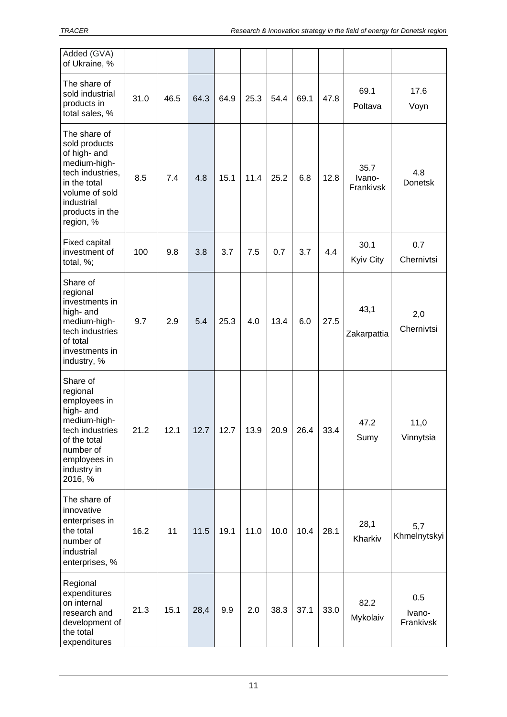| Added (GVA)<br>of Ukraine, %                                                                                                                                      |      |      |      |      |      |      |      |      |                             |                            |
|-------------------------------------------------------------------------------------------------------------------------------------------------------------------|------|------|------|------|------|------|------|------|-----------------------------|----------------------------|
| The share of<br>sold industrial<br>products in<br>total sales, %                                                                                                  | 31.0 | 46.5 | 64.3 | 64.9 | 25.3 | 54.4 | 69.1 | 47.8 | 69.1<br>Poltava             | 17.6<br>Voyn               |
| The share of<br>sold products<br>of high- and<br>medium-high-<br>tech industries,<br>in the total<br>volume of sold<br>industrial<br>products in the<br>region, % | 8.5  | 7.4  | 4.8  | 15.1 | 11.4 | 25.2 | 6.8  | 12.8 | 35.7<br>Ivano-<br>Frankivsk | 4.8<br><b>Donetsk</b>      |
| Fixed capital<br>investment of<br>total, %;                                                                                                                       | 100  | 9.8  | 3.8  | 3.7  | 7.5  | 0.7  | 3.7  | 4.4  | 30.1<br>Kyiv City           | 0.7<br>Chernivtsi          |
| Share of<br>regional<br>investments in<br>high- and<br>medium-high-<br>tech industries<br>of total<br>investments in<br>industry, %                               | 9.7  | 2.9  | 5.4  | 25.3 | 4.0  | 13.4 | 6.0  | 27.5 | 43,1<br>Zakarpattia         | 2,0<br>Chernivtsi          |
| Share of<br>regional<br>employees in<br>high- and<br>medium-high-<br>tech industries<br>of the total<br>number of<br>employees in<br>industry in<br>2016, %       | 21.2 | 12.1 | 12.7 | 12.7 | 13.9 | 20.9 | 26.4 | 33.4 | 47.2<br>Sumy                | 11,0<br>Vinnytsia          |
| The share of<br>innovative<br>enterprises in<br>the total<br>number of<br>industrial<br>enterprises, %                                                            | 16.2 | 11   | 11.5 | 19.1 | 11.0 | 10.0 | 10.4 | 28.1 | 28,1<br>Kharkiv             | 5,7<br>Khmelnytskyi        |
| Regional<br>expenditures<br>on internal<br>research and<br>development of<br>the total<br>expenditures                                                            | 21.3 | 15.1 | 28,4 | 9.9  | 2.0  | 38.3 | 37.1 | 33.0 | 82.2<br>Mykolaiv            | 0.5<br>Ivano-<br>Frankivsk |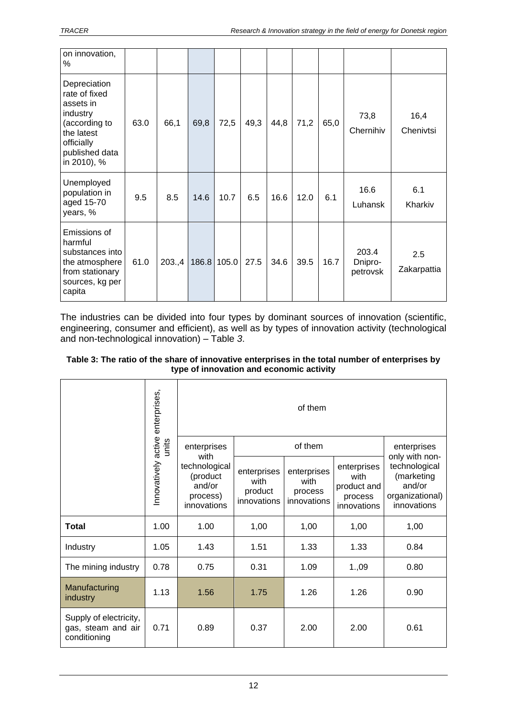| on innovation,<br>%                                                                                                                  |      |        |       |       |      |      |      |      |                              |                    |
|--------------------------------------------------------------------------------------------------------------------------------------|------|--------|-------|-------|------|------|------|------|------------------------------|--------------------|
| Depreciation<br>rate of fixed<br>assets in<br>industry<br>(according to<br>the latest<br>officially<br>published data<br>in 2010), % | 63.0 | 66,1   | 69,8  | 72,5  | 49,3 | 44,8 | 71,2 | 65,0 | 73,8<br>Chernihiv            | 16,4<br>Chenivtsi  |
| Unemployed<br>population in<br>aged 15-70<br>years, %                                                                                | 9.5  | 8.5    | 14.6  | 10.7  | 6.5  | 16.6 | 12.0 | 6.1  | 16.6<br>Luhansk              | 6.1<br>Kharkiv     |
| Emissions of<br>harmful<br>substances into<br>the atmosphere<br>from stationary<br>sources, kg per<br>capita                         | 61.0 | 203.,4 | 186.8 | 105.0 | 27.5 | 34.6 | 39.5 | 16.7 | 203.4<br>Dnipro-<br>petrovsk | 2.5<br>Zakarpattia |

The industries can be divided into four types by dominant sources of innovation (scientific, engineering, consumer and efficient), as well as by types of innovation activity (technological and non-technological innovation) – Table *3*.

| Table 3: The ratio of the share of innovative enterprises in the total number of enterprises by |  |
|-------------------------------------------------------------------------------------------------|--|
| type of innovation and economic activity                                                        |  |

|                                                              |                                  | of them                                                                               |                                               |                                               |                                                              |                                                                                           |  |  |  |
|--------------------------------------------------------------|----------------------------------|---------------------------------------------------------------------------------------|-----------------------------------------------|-----------------------------------------------|--------------------------------------------------------------|-------------------------------------------------------------------------------------------|--|--|--|
|                                                              | units                            | enterprises<br>with<br>technological<br>(product<br>and/or<br>process)<br>innovations |                                               | of them                                       |                                                              |                                                                                           |  |  |  |
|                                                              | Innovatively active enterprises, |                                                                                       | enterprises<br>with<br>product<br>innovations | enterprises<br>with<br>process<br>innovations | enterprises<br>with<br>product and<br>process<br>innovations | only with non-<br>technological<br>(marketing<br>and/or<br>organizational)<br>innovations |  |  |  |
| <b>Total</b>                                                 | 1.00                             | 1.00                                                                                  | 1,00                                          | 1,00                                          | 1,00                                                         | 1,00                                                                                      |  |  |  |
| Industry                                                     | 1.05                             | 1.43                                                                                  | 1.51                                          | 1.33                                          | 1.33                                                         | 0.84                                                                                      |  |  |  |
| The mining industry                                          | 0.78                             | 0.75                                                                                  | 0.31                                          | 1.09                                          | 1.,09                                                        | 0.80                                                                                      |  |  |  |
| Manufacturing<br>industry                                    | 1.13                             | 1.56                                                                                  | 1.75                                          | 1.26                                          | 1.26                                                         | 0.90                                                                                      |  |  |  |
| Supply of electricity,<br>gas, steam and air<br>conditioning | 0.71                             | 0.89                                                                                  | 0.37                                          | 2.00                                          | 2.00                                                         | 0.61                                                                                      |  |  |  |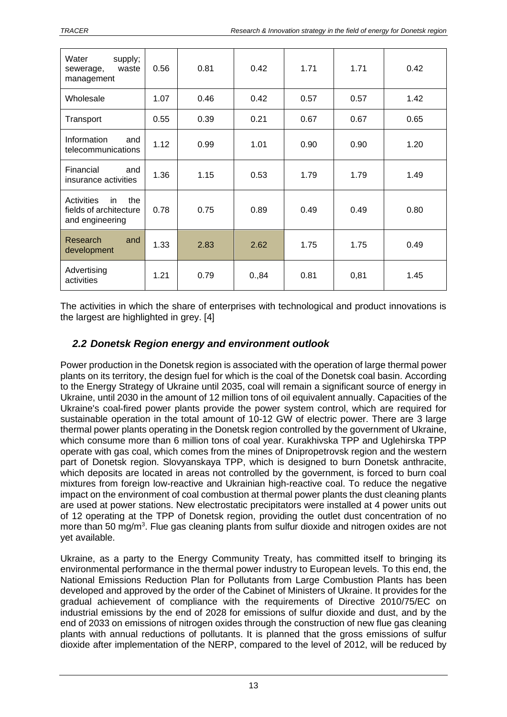| Water<br>supply;<br>waste<br>sewerage,<br>management                        | 0.56 | 0.81 | 0.42  | 1.71 | 1.71 | 0.42 |
|-----------------------------------------------------------------------------|------|------|-------|------|------|------|
| Wholesale                                                                   | 1.07 | 0.46 | 0.42  | 0.57 | 0.57 | 1.42 |
| Transport                                                                   | 0.55 | 0.39 | 0.21  | 0.67 | 0.67 | 0.65 |
| Information<br>and<br>telecommunications                                    | 1.12 | 0.99 | 1.01  | 0.90 | 0.90 | 1.20 |
| Financial<br>and<br>insurance activities                                    | 1.36 | 1.15 | 0.53  | 1.79 | 1.79 | 1.49 |
| <b>Activities</b><br>the<br>in<br>fields of architecture<br>and engineering | 0.78 | 0.75 | 0.89  | 0.49 | 0.49 | 0.80 |
| Research<br>and<br>development                                              | 1.33 | 2.83 | 2.62  | 1.75 | 1.75 | 0.49 |
| Advertising<br>activities                                                   | 1.21 | 0.79 | 0.,84 | 0.81 | 0,81 | 1.45 |

The activities in which the share of enterprises with technological and product innovations is the largest are highlighted in grey. [4]

## <span id="page-12-0"></span>*2.2 Donetsk Region energy and environment outlook*

Power production in the Donetsk region is associated with the operation of large thermal power plants on its territory, the design fuel for which is the coal of the Donetsk coal basin. According to the Energy Strategy of Ukraine until 2035, coal will remain a significant source of energy in Ukraine, until 2030 in the amount of 12 million tons of oil equivalent annually. Capacities of the Ukraine's coal-fired power plants provide the power system control, which are required for sustainable operation in the total amount of 10-12 GW of electric power. There are 3 large thermal power plants operating in the Donetsk region controlled by the government of Ukraine, which consume more than 6 million tons of coal year. Kurakhivska TPP and Uglehirska TPP operate with gas coal, which comes from the mines of Dnipropetrovsk region and the western part of Donetsk region. Slovyanskaya TPP, which is designed to burn Donetsk anthracite, which deposits are located in areas not controlled by the government, is forced to burn coal mixtures from foreign low-reactive and Ukrainian high-reactive coal. To reduce the negative impact on the environment of coal combustion at thermal power plants the dust cleaning plants are used at power stations. New electrostatic precipitators were installed at 4 power units out of 12 operating at the TPP of Donetsk region, providing the outlet dust concentration of no more than 50 mg/m<sup>3</sup>. Flue gas cleaning plants from sulfur dioxide and nitrogen oxides are not yet available.

Ukraine, as a party to the Energy Community Treaty, has committed itself to bringing its environmental performance in the thermal power industry to European levels. To this end, the National Emissions Reduction Plan for Pollutants from Large Combustion Plants has been developed and approved by the order of the Cabinet of Ministers of Ukraine. It provides for the gradual achievement of compliance with the requirements of Directive 2010/75/EC on industrial emissions by the end of 2028 for emissions of sulfur dioxide and dust, and by the end of 2033 on emissions of nitrogen oxides through the construction of new flue gas cleaning plants with annual reductions of pollutants. It is planned that the gross emissions of sulfur dioxide after implementation of the NERP, compared to the level of 2012, will be reduced by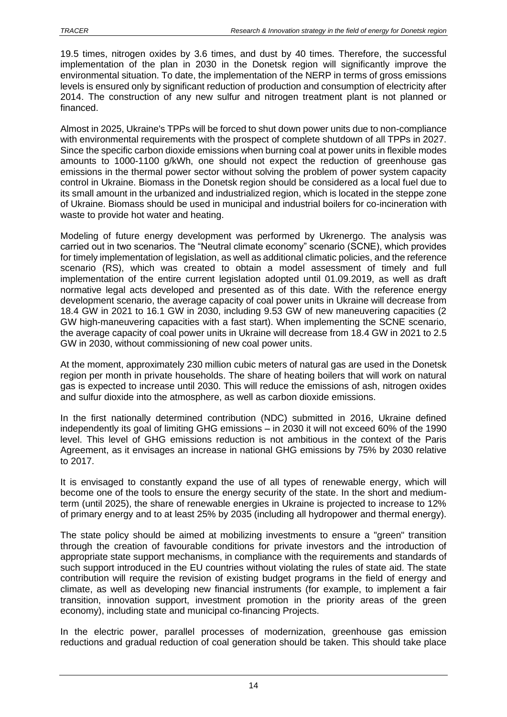19.5 times, nitrogen oxides by 3.6 times, and dust by 40 times. Therefore, the successful implementation of the plan in 2030 in the Donetsk region will significantly improve the environmental situation. To date, the implementation of the NERP in terms of gross emissions levels is ensured only by significant reduction of production and consumption of electricity after 2014. The construction of any new sulfur and nitrogen treatment plant is not planned or financed.

Almost in 2025, Ukraine's TPPs will be forced to shut down power units due to non-compliance with environmental requirements with the prospect of complete shutdown of all TPPs in 2027. Since the specific carbon dioxide emissions when burning coal at power units in flexible modes amounts to 1000-1100 g/kWh, one should not expect the reduction of greenhouse gas emissions in the thermal power sector without solving the problem of power system capacity control in Ukraine. Biomass in the Donetsk region should be considered as a local fuel due to its small amount in the urbanized and industrialized region, which is located in the steppe zone of Ukraine. Biomass should be used in municipal and industrial boilers for co-incineration with waste to provide hot water and heating.

Modeling of future energy development was performed by Ukrenergo. The analysis was carried out in two scenarios. The "Neutral climate economy" scenario (SCNE), which provides for timely implementation of legislation, as well as additional climatic policies, and the reference scenario (RS), which was created to obtain a model assessment of timely and full implementation of the entire current legislation adopted until 01.09.2019, as well as draft normative legal acts developed and presented as of this date. With the reference energy development scenario, the average capacity of coal power units in Ukraine will decrease from 18.4 GW in 2021 to 16.1 GW in 2030, including 9.53 GW of new maneuvering capacities (2 GW high-maneuvering capacities with a fast start). When implementing the SCNE scenario, the average capacity of coal power units in Ukraine will decrease from 18.4 GW in 2021 to 2.5 GW in 2030, without commissioning of new coal power units.

At the moment, approximately 230 million cubic meters of natural gas are used in the Donetsk region per month in private households. The share of heating boilers that will work on natural gas is expected to increase until 2030. This will reduce the emissions of ash, nitrogen oxides and sulfur dioxide into the atmosphere, as well as carbon dioxide emissions.

In the first nationally determined contribution (NDC) submitted in 2016, Ukraine defined independently its goal of limiting GHG emissions – in 2030 it will not exceed 60% of the 1990 level. This level of GHG emissions reduction is not ambitious in the context of the Paris Agreement, as it envisages an increase in national GHG emissions by 75% by 2030 relative to 2017.

It is envisaged to constantly expand the use of all types of renewable energy, which will become one of the tools to ensure the energy security of the state. In the short and mediumterm (until 2025), the share of renewable energies in Ukraine is projected to increase to 12% of primary energy and to at least 25% by 2035 (including all hydropower and thermal energy).

The state policy should be aimed at mobilizing investments to ensure a "green" transition through the creation of favourable conditions for private investors and the introduction of appropriate state support mechanisms, in compliance with the requirements and standards of such support introduced in the EU countries without violating the rules of state aid. The state contribution will require the revision of existing budget programs in the field of energy and climate, as well as developing new financial instruments (for example, to implement a fair transition, innovation support, investment promotion in the priority areas of the green economy), including state and municipal co-financing Projects.

In the electric power, parallel processes of modernization, greenhouse gas emission reductions and gradual reduction of coal generation should be taken. This should take place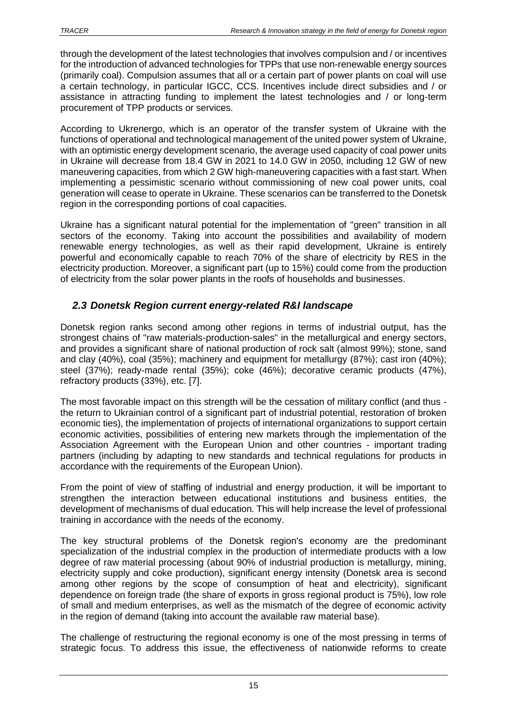through the development of the latest technologies that involves compulsion and / or incentives for the introduction of advanced technologies for TPPs that use non-renewable energy sources (primarily coal). Compulsion assumes that all or a certain part of power plants on coal will use a certain technology, in particular IGCC, CCS. Incentives include direct subsidies and / or assistance in attracting funding to implement the latest technologies and / or long-term procurement of TPP products or services.

According to Ukrenergo, which is an operator of the transfer system of Ukraine with the functions of operational and technological management of the united power system of Ukraine, with an optimistic energy development scenario, the average used capacity of coal power units in Ukraine will decrease from 18.4 GW in 2021 to 14.0 GW in 2050, including 12 GW of new maneuvering capacities, from which 2 GW high-maneuvering capacities with a fast start. When implementing a pessimistic scenario without commissioning of new coal power units, coal generation will cease to operate in Ukraine. These scenarios can be transferred to the Donetsk region in the corresponding portions of coal capacities.

Ukraine has a significant natural potential for the implementation of "green" transition in all sectors of the economy. Taking into account the possibilities and availability of modern renewable energy technologies, as well as their rapid development, Ukraine is entirely powerful and economically capable to reach 70% of the share of electricity by RES in the electricity production. Moreover, a significant part (up to 15%) could come from the production of electricity from the solar power plants in the roofs of households and businesses.

## <span id="page-14-0"></span>*2.3 Donetsk Region current energy-related R&I landscape*

Donetsk region ranks second among other regions in terms of industrial output, has the strongest chains of "raw materials-production-sales" in the metallurgical and energy sectors, and provides a significant share of national production of rock salt (almost 99%); stone, sand and clay (40%), coal (35%); machinery and equipment for metallurgy (87%); cast iron (40%); steel (37%); ready-made rental (35%); coke (46%); decorative ceramic products (47%), refractory products (33%), etc. [7].

The most favorable impact on this strength will be the cessation of military conflict (and thus the return to Ukrainian control of a significant part of industrial potential, restoration of broken economic ties), the implementation of projects of international organizations to support certain economic activities, possibilities of entering new markets through the implementation of the Association Agreement with the European Union and other countries - important trading partners (including by adapting to new standards and technical regulations for products in accordance with the requirements of the European Union).

From the point of view of staffing of industrial and energy production, it will be important to strengthen the interaction between educational institutions and business entities, the development of mechanisms of dual education. This will help increase the level of professional training in accordance with the needs of the economy.

The key structural problems of the Donetsk region's economy are the predominant specialization of the industrial complex in the production of intermediate products with a low degree of raw material processing (about 90% of industrial production is metallurgy, mining, electricity supply and coke production), significant energy intensity (Donetsk area is second among other regions by the scope of consumption of heat and electricity), significant dependence on foreign trade (the share of exports in gross regional product is 75%), low role of small and medium enterprises, as well as the mismatch of the degree of economic activity in the region of demand (taking into account the available raw material base).

The challenge of restructuring the regional economy is one of the most pressing in terms of strategic focus. To address this issue, the effectiveness of nationwide reforms to create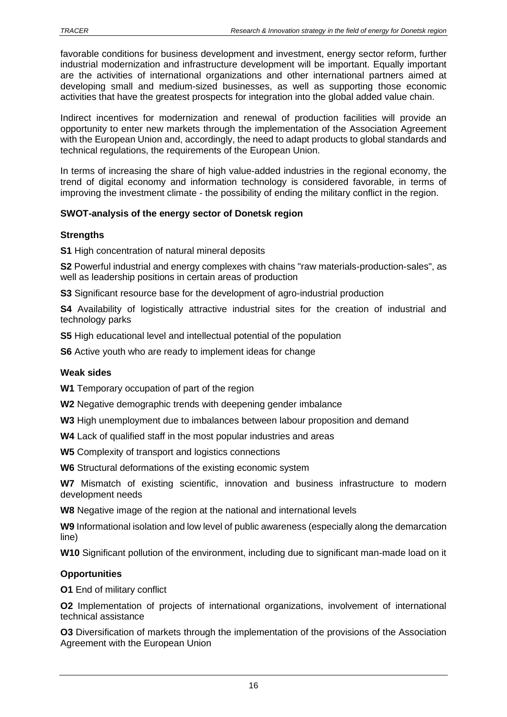favorable conditions for business development and investment, energy sector reform, further industrial modernization and infrastructure development will be important. Equally important are the activities of international organizations and other international partners aimed at developing small and medium-sized businesses, as well as supporting those economic activities that have the greatest prospects for integration into the global added value chain.

Indirect incentives for modernization and renewal of production facilities will provide an opportunity to enter new markets through the implementation of the Association Agreement with the European Union and, accordingly, the need to adapt products to global standards and technical regulations, the requirements of the European Union.

In terms of increasing the share of high value-added industries in the regional economy, the trend of digital economy and information technology is considered favorable, in terms of improving the investment climate - the possibility of ending the military conflict in the region.

#### **SWOT-analysis of the energy sector of Donetsk region**

#### **Strengths**

**S1** High concentration of natural mineral deposits

**S2** Powerful industrial and energy complexes with chains "raw materials-production-sales", as well as leadership positions in certain areas of production

**S3** Significant resource base for the development of agro-industrial production

**S4** Availability of logistically attractive industrial sites for the creation of industrial and technology parks

**S5** High educational level and intellectual potential of the population

**S6** Active youth who are ready to implement ideas for change

#### **Weak sides**

**W1** Temporary occupation of part of the region

**W2** Negative demographic trends with deepening gender imbalance

**W3** High unemployment due to imbalances between labour proposition and demand

**W4** Lack of qualified staff in the most popular industries and areas

**W5** Complexity of transport and logistics connections

**W6** Structural deformations of the existing economic system

**W7** Mismatch of existing scientific, innovation and business infrastructure to modern development needs

**W8** Negative image of the region at the national and international levels

**W9** Informational isolation and low level of public awareness (especially along the demarcation line)

**W10** Significant pollution of the environment, including due to significant man-made load on it

#### **Opportunities**

**O1** End of military conflict

**O2** Implementation of projects of international organizations, involvement of international technical assistance

**O3** Diversification of markets through the implementation of the provisions of the Association Agreement with the European Union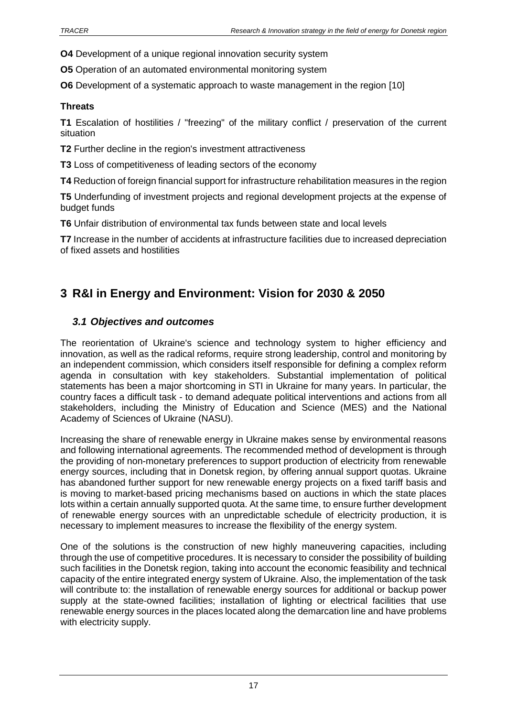**O4** Development of a unique regional innovation security system

**O5** Operation of an automated environmental monitoring system

**O6** Development of a systematic approach to waste management in the region [10]

#### **Threats**

**T1** Escalation of hostilities / "freezing" of the military conflict / preservation of the current situation

**T2** Further decline in the region's investment attractiveness

**T3** Loss of competitiveness of leading sectors of the economy

**T4** Reduction of foreign financial support for infrastructure rehabilitation measures in the region

**T5** Underfunding of investment projects and regional development projects at the expense of budget funds

**T6** Unfair distribution of environmental tax funds between state and local levels

**T7** Increase in the number of accidents at infrastructure facilities due to increased depreciation of fixed assets and hostilities

# <span id="page-16-0"></span>**3 R&I in Energy and Environment: Vision for 2030 & 2050**

#### <span id="page-16-1"></span>*3.1 Objectives and outcomes*

The reorientation of Ukraine's science and technology system to higher efficiency and innovation, as well as the radical reforms, require strong leadership, control and monitoring by an independent commission, which considers itself responsible for defining a complex reform agenda in consultation with key stakeholders. Substantial implementation of political statements has been a major shortcoming in STI in Ukraine for many years. In particular, the country faces a difficult task - to demand adequate political interventions and actions from all stakeholders, including the Ministry of Education and Science (MES) and the National Academy of Sciences of Ukraine (NASU).

Increasing the share of renewable energy in Ukraine makes sense by environmental reasons and following international agreements. The recommended method of development is through the providing of non-monetary preferences to support production of electricity from renewable energy sources, including that in Donetsk region, by offering annual support quotas. Ukraine has abandoned further support for new renewable energy projects on a fixed tariff basis and is moving to market-based pricing mechanisms based on auctions in which the state places lots within a certain annually supported quota. At the same time, to ensure further development of renewable energy sources with an unpredictable schedule of electricity production, it is necessary to implement measures to increase the flexibility of the energy system.

One of the solutions is the construction of new highly maneuvering capacities, including through the use of competitive procedures. It is necessary to consider the possibility of building such facilities in the Donetsk region, taking into account the economic feasibility and technical capacity of the entire integrated energy system of Ukraine. Also, the implementation of the task will contribute to: the installation of renewable energy sources for additional or backup power supply at the state-owned facilities; installation of lighting or electrical facilities that use renewable energy sources in the places located along the demarcation line and have problems with electricity supply.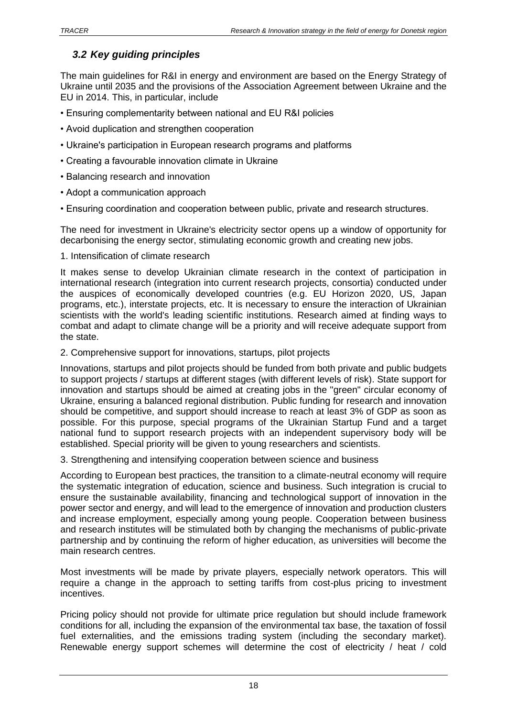## <span id="page-17-0"></span>*3.2 Key guiding principles*

The main guidelines for R&I in energy and environment are based on the Energy Strategy of Ukraine until 2035 and the provisions of the Association Agreement between Ukraine and the EU in 2014. This, in particular, include

- Ensuring complementarity between national and EU R&I policies
- Avoid duplication and strengthen cooperation
- Ukraine's participation in European research programs and platforms
- Creating a favourable innovation climate in Ukraine
- Balancing research and innovation
- Adopt a communication approach
- Ensuring coordination and cooperation between public, private and research structures.

The need for investment in Ukraine's electricity sector opens up a window of opportunity for decarbonising the energy sector, stimulating economic growth and creating new jobs.

1. Intensification of climate research

It makes sense to develop Ukrainian climate research in the context of participation in international research (integration into current research projects, consortia) conducted under the auspices of economically developed countries (e.g. EU Horizon 2020, US, Japan programs, etc.), interstate projects, etc. It is necessary to ensure the interaction of Ukrainian scientists with the world's leading scientific institutions. Research aimed at finding ways to combat and adapt to climate change will be a priority and will receive adequate support from the state.

2. Comprehensive support for innovations, startups, pilot projects

Innovations, startups and pilot projects should be funded from both private and public budgets to support projects / startups at different stages (with different levels of risk). State support for innovation and startups should be aimed at creating jobs in the "green" circular economy of Ukraine, ensuring a balanced regional distribution. Public funding for research and innovation should be competitive, and support should increase to reach at least 3% of GDP as soon as possible. For this purpose, special programs of the Ukrainian Startup Fund and a target national fund to support research projects with an independent supervisory body will be established. Special priority will be given to young researchers and scientists.

3. Strengthening and intensifying cooperation between science and business

According to European best practices, the transition to a climate-neutral economy will require the systematic integration of education, science and business. Such integration is crucial to ensure the sustainable availability, financing and technological support of innovation in the power sector and energy, and will lead to the emergence of innovation and production clusters and increase employment, especially among young people. Cooperation between business and research institutes will be stimulated both by changing the mechanisms of public-private partnership and by continuing the reform of higher education, as universities will become the main research centres.

Most investments will be made by private players, especially network operators. This will require a change in the approach to setting tariffs from cost-plus pricing to investment incentives.

Pricing policy should not provide for ultimate price regulation but should include framework conditions for all, including the expansion of the environmental tax base, the taxation of fossil fuel externalities, and the emissions trading system (including the secondary market). Renewable energy support schemes will determine the cost of electricity / heat / cold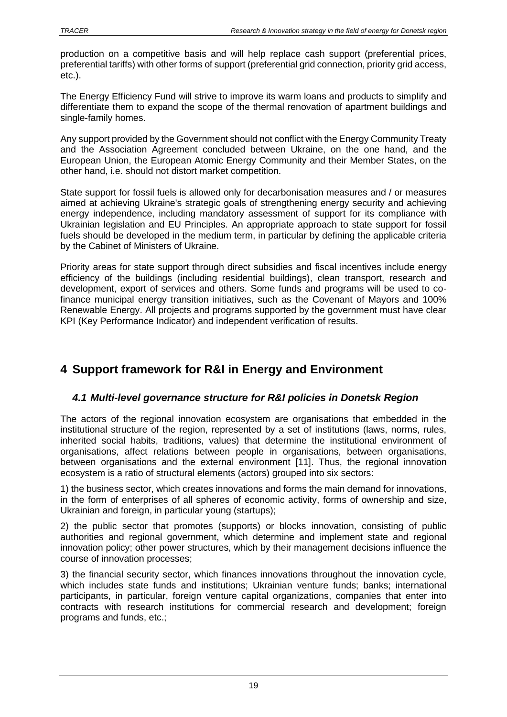production on a competitive basis and will help replace cash support (preferential prices, preferential tariffs) with other forms of support (preferential grid connection, priority grid access, etc.).

The Energy Efficiency Fund will strive to improve its warm loans and products to simplify and differentiate them to expand the scope of the thermal renovation of apartment buildings and single-family homes.

Any support provided by the Government should not conflict with the Energy Community Treaty and the Association Agreement concluded between Ukraine, on the one hand, and the European Union, the European Atomic Energy Community and their Member States, on the other hand, i.e. should not distort market competition.

State support for fossil fuels is allowed only for decarbonisation measures and / or measures aimed at achieving Ukraine's strategic goals of strengthening energy security and achieving energy independence, including mandatory assessment of support for its compliance with Ukrainian legislation and EU Principles. An appropriate approach to state support for fossil fuels should be developed in the medium term, in particular by defining the applicable criteria by the Cabinet of Ministers of Ukraine.

Priority areas for state support through direct subsidies and fiscal incentives include energy efficiency of the buildings (including residential buildings), clean transport, research and development, export of services and others. Some funds and programs will be used to cofinance municipal energy transition initiatives, such as the Covenant of Mayors and 100% Renewable Energy. All projects and programs supported by the government must have clear KPI (Key Performance Indicator) and independent verification of results.

# <span id="page-18-0"></span>**4 Support framework for R&I in Energy and Environment**

### <span id="page-18-1"></span>*4.1 Multi-level governance structure for R&I policies in Donetsk Region*

The actors of the regional innovation ecosystem are organisations that embedded in the institutional structure of the region, represented by a set of institutions (laws, norms, rules, inherited social habits, traditions, values) that determine the institutional environment of organisations, affect relations between people in organisations, between organisations, between organisations and the external environment [11]. Thus, the regional innovation ecosystem is a ratio of structural elements (actors) grouped into six sectors:

1) the business sector, which creates innovations and forms the main demand for innovations, in the form of enterprises of all spheres of economic activity, forms of ownership and size, Ukrainian and foreign, in particular young (startups);

2) the public sector that promotes (supports) or blocks innovation, consisting of public authorities and regional government, which determine and implement state and regional innovation policy; other power structures, which by their management decisions influence the course of innovation processes;

3) the financial security sector, which finances innovations throughout the innovation cycle, which includes state funds and institutions; Ukrainian venture funds; banks; international participants, in particular, foreign venture capital organizations, companies that enter into contracts with research institutions for commercial research and development; foreign programs and funds, etc.;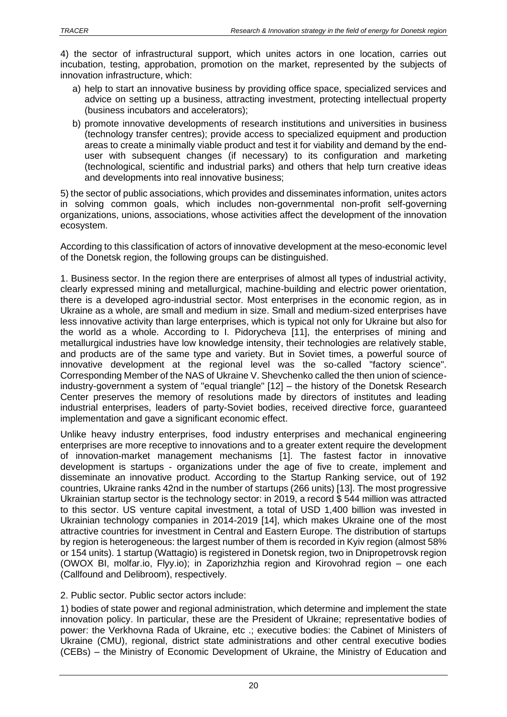4) the sector of infrastructural support, which unites actors in one location, carries out incubation, testing, approbation, promotion on the market, represented by the subjects of innovation infrastructure, which:

- a) help to start an innovative business by providing office space, specialized services and advice on setting up a business, attracting investment, protecting intellectual property (business incubators and accelerators);
- b) promote innovative developments of research institutions and universities in business (technology transfer centres); provide access to specialized equipment and production areas to create a minimally viable product and test it for viability and demand by the enduser with subsequent changes (if necessary) to its configuration and marketing (technological, scientific and industrial parks) and others that help turn creative ideas and developments into real innovative business;

5) the sector of public associations, which provides and disseminates information, unites actors in solving common goals, which includes non-governmental non-profit self-governing organizations, unions, associations, whose activities affect the development of the innovation ecosystem.

According to this classification of actors of innovative development at the meso-economic level of the Donetsk region, the following groups can be distinguished.

1. Business sector. In the region there are enterprises of almost all types of industrial activity, clearly expressed mining and metallurgical, machine-building and electric power orientation, there is a developed agro-industrial sector. Most enterprises in the economic region, as in Ukraine as a whole, are small and medium in size. Small and medium-sized enterprises have less innovative activity than large enterprises, which is typical not only for Ukraine but also for the world as a whole. According to I. Pidorycheva [11], the enterprises of mining and metallurgical industries have low knowledge intensity, their technologies are relatively stable, and products are of the same type and variety. But in Soviet times, a powerful source of innovative development at the regional level was the so-called "factory science". Corresponding Member of the NAS of Ukraine V. Shevchenko called the then union of scienceindustry-government a system of "equal triangle" [12] – the history of the Donetsk Research Center preserves the memory of resolutions made by directors of institutes and leading industrial enterprises, leaders of party-Soviet bodies, received directive force, guaranteed implementation and gave a significant economic effect.

Unlike heavy industry enterprises, food industry enterprises and mechanical engineering enterprises are more receptive to innovations and to a greater extent require the development of innovation-market management mechanisms [1]. The fastest factor in innovative development is startups - organizations under the age of five to create, implement and disseminate an innovative product. According to the Startup Ranking service, out of 192 countries, Ukraine ranks 42nd in the number of startups (266 units) [13]. The most progressive Ukrainian startup sector is the technology sector: in 2019, a record \$ 544 million was attracted to this sector. US venture capital investment, a total of USD 1,400 billion was invested in Ukrainian technology companies in 2014-2019 [14], which makes Ukraine one of the most attractive countries for investment in Central and Eastern Europe. The distribution of startups by region is heterogeneous: the largest number of them is recorded in Kyiv region (almost 58% or 154 units). 1 startup (Wattagio) is registered in Donetsk region, two in Dnipropetrovsk region (OWOX BI, molfar.io, Flyy.io); in Zaporizhzhia region and Kirovohrad region – one each (Callfound and Delibroom), respectively.

2. Public sector. Public sector actors include:

1) bodies of state power and regional administration, which determine and implement the state innovation policy. In particular, these are the President of Ukraine; representative bodies of power: the Verkhovna Rada of Ukraine, etc .; executive bodies: the Cabinet of Ministers of Ukraine (CMU), regional, district state administrations and other central executive bodies (CEBs) – the Ministry of Economic Development of Ukraine, the Ministry of Education and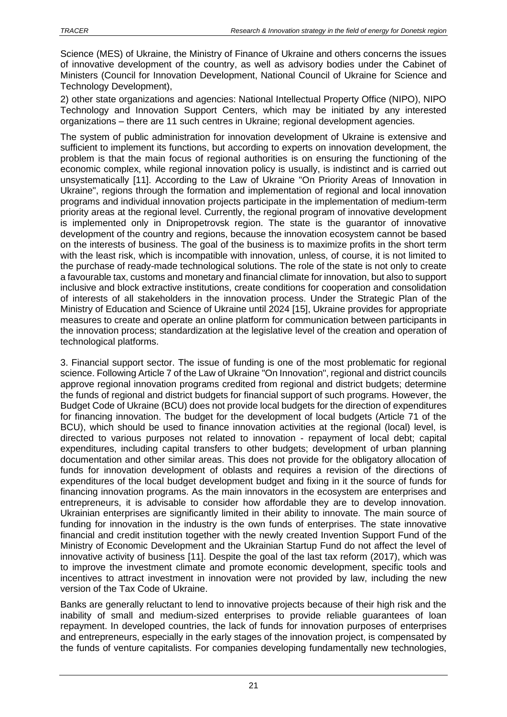Science (MES) of Ukraine, the Ministry of Finance of Ukraine and others concerns the issues of innovative development of the country, as well as advisory bodies under the Cabinet of Ministers (Council for Innovation Development, National Council of Ukraine for Science and Technology Development),

2) other state organizations and agencies: National Intellectual Property Office (NIPO), NIPO Technology and Innovation Support Centers, which may be initiated by any interested organizations – there are 11 such centres in Ukraine; regional development agencies.

The system of public administration for innovation development of Ukraine is extensive and sufficient to implement its functions, but according to experts on innovation development, the problem is that the main focus of regional authorities is on ensuring the functioning of the economic complex, while regional innovation policy is usually, is indistinct and is carried out unsystematically [11]. According to the Law of Ukraine "On Priority Areas of Innovation in Ukraine", regions through the formation and implementation of regional and local innovation programs and individual innovation projects participate in the implementation of medium-term priority areas at the regional level. Currently, the regional program of innovative development is implemented only in Dnipropetrovsk region. The state is the guarantor of innovative development of the country and regions, because the innovation ecosystem cannot be based on the interests of business. The goal of the business is to maximize profits in the short term with the least risk, which is incompatible with innovation, unless, of course, it is not limited to the purchase of ready-made technological solutions. The role of the state is not only to create a favourable tax, customs and monetary and financial climate for innovation, but also to support inclusive and block extractive institutions, create conditions for cooperation and consolidation of interests of all stakeholders in the innovation process. Under the Strategic Plan of the Ministry of Education and Science of Ukraine until 2024 [15], Ukraine provides for appropriate measures to create and operate an online platform for communication between participants in the innovation process; standardization at the legislative level of the creation and operation of technological platforms.

3. Financial support sector. The issue of funding is one of the most problematic for regional science. Following Article 7 of the Law of Ukraine "On Innovation", regional and district councils approve regional innovation programs credited from regional and district budgets; determine the funds of regional and district budgets for financial support of such programs. However, the Budget Code of Ukraine (BCU) does not provide local budgets for the direction of expenditures for financing innovation. The budget for the development of local budgets (Article 71 of the BCU), which should be used to finance innovation activities at the regional (local) level, is directed to various purposes not related to innovation - repayment of local debt; capital expenditures, including capital transfers to other budgets; development of urban planning documentation and other similar areas. This does not provide for the obligatory allocation of funds for innovation development of oblasts and requires a revision of the directions of expenditures of the local budget development budget and fixing in it the source of funds for financing innovation programs. As the main innovators in the ecosystem are enterprises and entrepreneurs, it is advisable to consider how affordable they are to develop innovation. Ukrainian enterprises are significantly limited in their ability to innovate. The main source of funding for innovation in the industry is the own funds of enterprises. The state innovative financial and credit institution together with the newly created Invention Support Fund of the Ministry of Economic Development and the Ukrainian Startup Fund do not affect the level of innovative activity of business [11]. Despite the goal of the last tax reform (2017), which was to improve the investment climate and promote economic development, specific tools and incentives to attract investment in innovation were not provided by law, including the new version of the Tax Code of Ukraine.

Banks are generally reluctant to lend to innovative projects because of their high risk and the inability of small and medium-sized enterprises to provide reliable guarantees of loan repayment. In developed countries, the lack of funds for innovation purposes of enterprises and entrepreneurs, especially in the early stages of the innovation project, is compensated by the funds of venture capitalists. For companies developing fundamentally new technologies,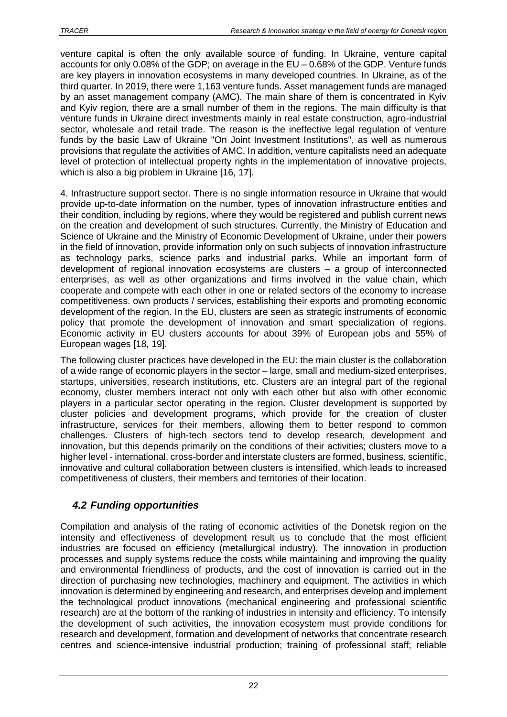venture capital is often the only available source of funding. In Ukraine, venture capital accounts for only 0.08% of the GDP; on average in the EU – 0.68% of the GDP. Venture funds are key players in innovation ecosystems in many developed countries. In Ukraine, as of the third quarter. In 2019, there were 1,163 venture funds. Asset management funds are managed by an asset management company (AMC). The main share of them is concentrated in Kyiv and Kyiv region, there are a small number of them in the regions. The main difficulty is that venture funds in Ukraine direct investments mainly in real estate construction, agro-industrial sector, wholesale and retail trade. The reason is the ineffective legal regulation of venture funds by the basic Law of Ukraine "On Joint Investment Institutions", as well as numerous provisions that regulate the activities of AMC. In addition, venture capitalists need an adequate level of protection of intellectual property rights in the implementation of innovative projects, which is also a big problem in Ukraine [16, 17].

4. Infrastructure support sector. There is no single information resource in Ukraine that would provide up-to-date information on the number, types of innovation infrastructure entities and their condition, including by regions, where they would be registered and publish current news on the creation and development of such structures. Currently, the Ministry of Education and Science of Ukraine and the Ministry of Economic Development of Ukraine, under their powers in the field of innovation, provide information only on such subjects of innovation infrastructure as technology parks, science parks and industrial parks. While an important form of development of regional innovation ecosystems are clusters – a group of interconnected enterprises, as well as other organizations and firms involved in the value chain, which cooperate and compete with each other in one or related sectors of the economy to increase competitiveness. own products / services, establishing their exports and promoting economic development of the region. In the EU, clusters are seen as strategic instruments of economic policy that promote the development of innovation and smart specialization of regions. Economic activity in EU clusters accounts for about 39% of European jobs and 55% of European wages [18, 19].

The following cluster practices have developed in the EU: the main cluster is the collaboration of a wide range of economic players in the sector – large, small and medium-sized enterprises, startups, universities, research institutions, etc. Clusters are an integral part of the regional economy, cluster members interact not only with each other but also with other economic players in a particular sector operating in the region. Cluster development is supported by cluster policies and development programs, which provide for the creation of cluster infrastructure, services for their members, allowing them to better respond to common challenges. Clusters of high-tech sectors tend to develop research, development and innovation, but this depends primarily on the conditions of their activities; clusters move to a higher level - international, cross-border and interstate clusters are formed, business, scientific, innovative and cultural collaboration between clusters is intensified, which leads to increased competitiveness of clusters, their members and territories of their location.

## <span id="page-21-0"></span>*4.2 Funding opportunities*

Compilation and analysis of the rating of economic activities of the Donetsk region on the intensity and effectiveness of development result us to conclude that the most efficient industries are focused on efficiency (metallurgical industry). The innovation in production processes and supply systems reduce the costs while maintaining and improving the quality and environmental friendliness of products, and the cost of innovation is carried out in the direction of purchasing new technologies, machinery and equipment. The activities in which innovation is determined by engineering and research, and enterprises develop and implement the technological product innovations (mechanical engineering and professional scientific research) are at the bottom of the ranking of industries in intensity and efficiency. To intensify the development of such activities, the innovation ecosystem must provide conditions for research and development, formation and development of networks that concentrate research centres and science-intensive industrial production; training of professional staff; reliable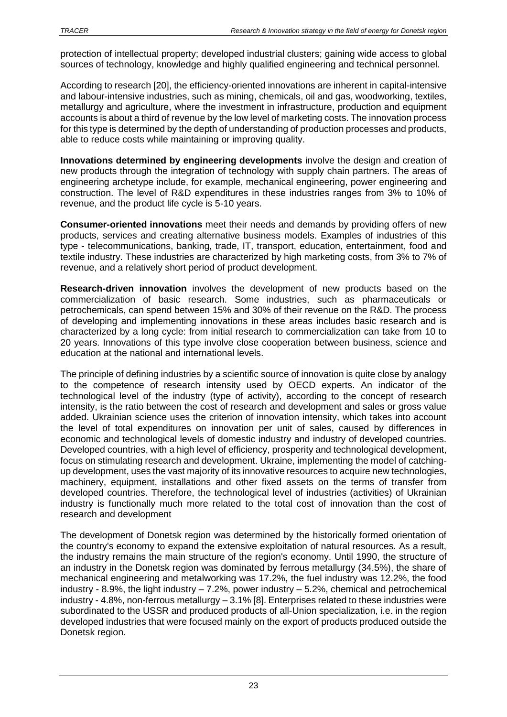protection of intellectual property; developed industrial clusters; gaining wide access to global sources of technology, knowledge and highly qualified engineering and technical personnel.

According to research [20], the efficiency-oriented innovations are inherent in capital-intensive and labour-intensive industries, such as mining, chemicals, oil and gas, woodworking, textiles, metallurgy and agriculture, where the investment in infrastructure, production and equipment accounts is about a third of revenue by the low level of marketing costs. The innovation process for this type is determined by the depth of understanding of production processes and products, able to reduce costs while maintaining or improving quality.

**Innovations determined by engineering developments** involve the design and creation of new products through the integration of technology with supply chain partners. The areas of engineering archetype include, for example, mechanical engineering, power engineering and construction. The level of R&D expenditures in these industries ranges from 3% to 10% of revenue, and the product life cycle is 5-10 years.

**Consumer-oriented innovations** meet their needs and demands by providing offers of new products, services and creating alternative business models. Examples of industries of this type - telecommunications, banking, trade, IT, transport, education, entertainment, food and textile industry. These industries are characterized by high marketing costs, from 3% to 7% of revenue, and a relatively short period of product development.

**Research-driven innovation** involves the development of new products based on the commercialization of basic research. Some industries, such as pharmaceuticals or petrochemicals, can spend between 15% and 30% of their revenue on the R&D. The process of developing and implementing innovations in these areas includes basic research and is characterized by a long cycle: from initial research to commercialization can take from 10 to 20 years. Innovations of this type involve close cooperation between business, science and education at the national and international levels.

The principle of defining industries by a scientific source of innovation is quite close by analogy to the competence of research intensity used by OECD experts. An indicator of the technological level of the industry (type of activity), according to the concept of research intensity, is the ratio between the cost of research and development and sales or gross value added. Ukrainian science uses the criterion of innovation intensity, which takes into account the level of total expenditures on innovation per unit of sales, caused by differences in economic and technological levels of domestic industry and industry of developed countries. Developed countries, with a high level of efficiency, prosperity and technological development, focus on stimulating research and development. Ukraine, implementing the model of catchingup development, uses the vast majority of its innovative resources to acquire new technologies, machinery, equipment, installations and other fixed assets on the terms of transfer from developed countries. Therefore, the technological level of industries (activities) of Ukrainian industry is functionally much more related to the total cost of innovation than the cost of research and development

The development of Donetsk region was determined by the historically formed orientation of the country's economy to expand the extensive exploitation of natural resources. As a result, the industry remains the main structure of the region's economy. Until 1990, the structure of an industry in the Donetsk region was dominated by ferrous metallurgy (34.5%), the share of mechanical engineering and metalworking was 17.2%, the fuel industry was 12.2%, the food industry - 8.9%, the light industry  $-7.2$ %, power industry  $-5.2$ %, chemical and petrochemical industry - 4.8%, non-ferrous metallurgy – 3.1% [8]. Enterprises related to these industries were subordinated to the USSR and produced products of all-Union specialization, i.e. in the region developed industries that were focused mainly on the export of products produced outside the Donetsk region.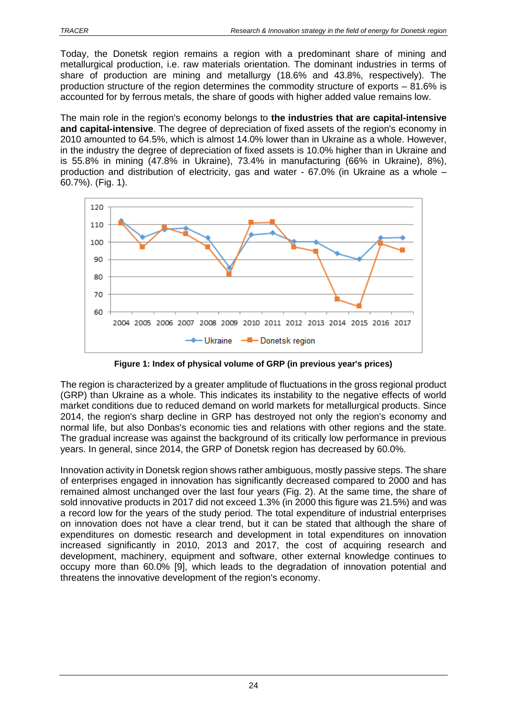Today, the Donetsk region remains a region with a predominant share of mining and metallurgical production, i.e. raw materials orientation. The dominant industries in terms of share of production are mining and metallurgy (18.6% and 43.8%, respectively). The production structure of the region determines the commodity structure of exports – 81.6% is accounted for by ferrous metals, the share of goods with higher added value remains low.

The main role in the region's economy belongs to **the industries that are capital-intensive and capital-intensive**. The degree of depreciation of fixed assets of the region's economy in 2010 amounted to 64.5%, which is almost 14.0% lower than in Ukraine as a whole. However, in the industry the degree of depreciation of fixed assets is 10.0% higher than in Ukraine and is 55.8% in mining (47.8% in Ukraine), 73.4% in manufacturing (66% in Ukraine), 8%), production and distribution of electricity, gas and water - 67.0% (in Ukraine as a whole – 60.7%). (Fig. 1).



**Figure 1: Index of physical volume of GRP (in previous year's prices)**

The region is characterized by a greater amplitude of fluctuations in the gross regional product (GRP) than Ukraine as a whole. This indicates its instability to the negative effects of world market conditions due to reduced demand on world markets for metallurgical products. Since 2014, the region's sharp decline in GRP has destroyed not only the region's economy and normal life, but also Donbas's economic ties and relations with other regions and the state. The gradual increase was against the background of its critically low performance in previous years. In general, since 2014, the GRP of Donetsk region has decreased by 60.0%.

Innovation activity in Donetsk region shows rather ambiguous, mostly passive steps. The share of enterprises engaged in innovation has significantly decreased compared to 2000 and has remained almost unchanged over the last four years (Fig. 2). At the same time, the share of sold innovative products in 2017 did not exceed 1.3% (in 2000 this figure was 21.5%) and was a record low for the years of the study period. The total expenditure of industrial enterprises on innovation does not have a clear trend, but it can be stated that although the share of expenditures on domestic research and development in total expenditures on innovation increased significantly in 2010, 2013 and 2017, the cost of acquiring research and development, machinery, equipment and software, other external knowledge continues to occupy more than 60.0% [9], which leads to the degradation of innovation potential and threatens the innovative development of the region's economy.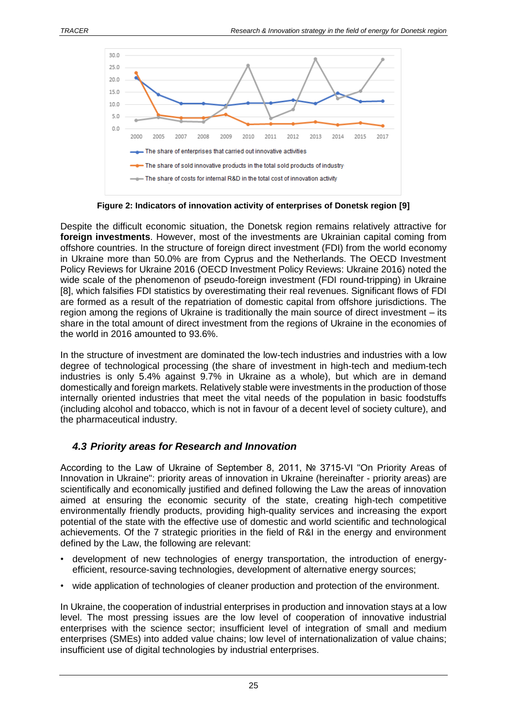

**Figure 2: Indicators of innovation activity of enterprises of Donetsk region [9]**

Despite the difficult economic situation, the Donetsk region remains relatively attractive for **foreign investments**. However, most of the investments are Ukrainian capital coming from offshore countries. In the structure of foreign direct investment (FDI) from the world economy in Ukraine more than 50.0% are from Cyprus and the Netherlands. The OECD Investment Policy Reviews for Ukraine 2016 (OECD Investment Policy Reviews: Ukraine 2016) noted the wide scale of the phenomenon of pseudo-foreign investment (FDI round-tripping) in Ukraine [8], which falsifies FDI statistics by overestimating their real revenues. Significant flows of FDI are formed as a result of the repatriation of domestic capital from offshore jurisdictions. The region among the regions of Ukraine is traditionally the main source of direct investment – its share in the total amount of direct investment from the regions of Ukraine in the economies of the world in 2016 amounted to 93.6%.

In the structure of investment are dominated the low-tech industries and industries with a low degree of technological processing (the share of investment in high-tech and medium-tech industries is only 5.4% against 9.7% in Ukraine as a whole), but which are in demand domestically and foreign markets. Relatively stable were investments in the production of those internally oriented industries that meet the vital needs of the population in basic foodstuffs (including alcohol and tobacco, which is not in favour of a decent level of society culture), and the pharmaceutical industry.

### <span id="page-24-0"></span>*4.3 Priority areas for Research and Innovation*

According to the Law of Ukraine of September 8, 2011, № 3715-VI "On Priority Areas of Innovation in Ukraine": priority areas of innovation in Ukraine (hereinafter - priority areas) are scientifically and economically justified and defined following the Law the areas of innovation aimed at ensuring the economic security of the state, creating high-tech competitive environmentally friendly products, providing high-quality services and increasing the export potential of the state with the effective use of domestic and world scientific and technological achievements. Of the 7 strategic priorities in the field of R&I in the energy and environment defined by the Law, the following are relevant:

- development of new technologies of energy transportation, the introduction of energyefficient, resource-saving technologies, development of alternative energy sources;
- wide application of technologies of cleaner production and protection of the environment.

In Ukraine, the cooperation of industrial enterprises in production and innovation stays at a low level. The most pressing issues are the low level of cooperation of innovative industrial enterprises with the science sector; insufficient level of integration of small and medium enterprises (SMEs) into added value chains; low level of internationalization of value chains; insufficient use of digital technologies by industrial enterprises.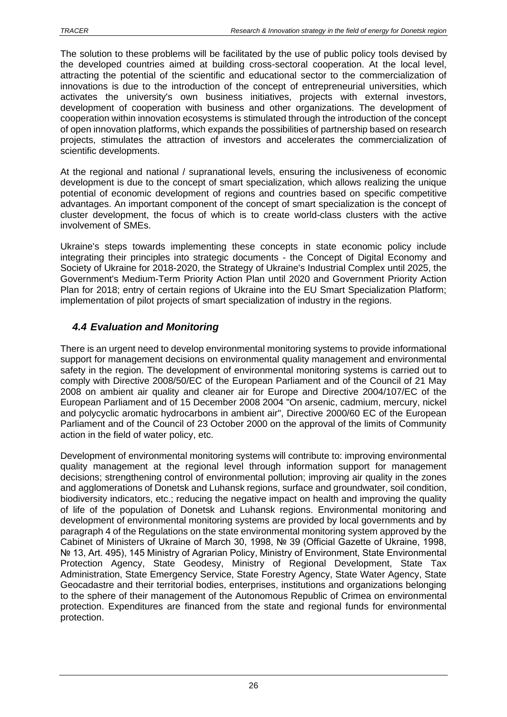The solution to these problems will be facilitated by the use of public policy tools devised by the developed countries aimed at building cross-sectoral cooperation. At the local level, attracting the potential of the scientific and educational sector to the commercialization of innovations is due to the introduction of the concept of entrepreneurial universities, which activates the university's own business initiatives, projects with external investors, development of cooperation with business and other organizations. The development of cooperation within innovation ecosystems is stimulated through the introduction of the concept of open innovation platforms, which expands the possibilities of partnership based on research projects, stimulates the attraction of investors and accelerates the commercialization of scientific developments.

At the regional and national / supranational levels, ensuring the inclusiveness of economic development is due to the concept of smart specialization, which allows realizing the unique potential of economic development of regions and countries based on specific competitive advantages. An important component of the concept of smart specialization is the concept of cluster development, the focus of which is to create world-class clusters with the active involvement of SMEs.

Ukraine's steps towards implementing these concepts in state economic policy include integrating their principles into strategic documents - the Concept of Digital Economy and Society of Ukraine for 2018-2020, the Strategy of Ukraine's Industrial Complex until 2025, the Government's Medium-Term Priority Action Plan until 2020 and Government Priority Action Plan for 2018; entry of certain regions of Ukraine into the EU Smart Specialization Platform; implementation of pilot projects of smart specialization of industry in the regions.

## <span id="page-25-0"></span>*4.4 Evaluation and Monitoring*

There is an urgent need to develop environmental monitoring systems to provide informational support for management decisions on environmental quality management and environmental safety in the region. The development of environmental monitoring systems is carried out to comply with Directive 2008/50/EC of the European Parliament and of the Council of 21 May 2008 on ambient air quality and cleaner air for Europe and Directive 2004/107/EC of the European Parliament and of 15 December 2008 2004 "On arsenic, cadmium, mercury, nickel and polycyclic aromatic hydrocarbons in ambient air", Directive 2000/60 EC of the European Parliament and of the Council of 23 October 2000 on the approval of the limits of Community action in the field of water policy, etc.

Development of environmental monitoring systems will contribute to: improving environmental quality management at the regional level through information support for management decisions; strengthening control of environmental pollution; improving air quality in the zones and agglomerations of Donetsk and Luhansk regions, surface and groundwater, soil condition, biodiversity indicators, etc.; reducing the negative impact on health and improving the quality of life of the population of Donetsk and Luhansk regions. Environmental monitoring and development of environmental monitoring systems are provided by local governments and by paragraph 4 of the Regulations on the state environmental monitoring system approved by the Cabinet of Ministers of Ukraine of March 30, 1998, № 39 (Official Gazette of Ukraine, 1998, Nº 13, Art. 495), 145 Ministry of Agrarian Policy, Ministry of Environment, State Environmental Protection Agency, State Geodesy, Ministry of Regional Development, State Tax Administration, State Emergency Service, State Forestry Agency, State Water Agency, State Geocadastre and their territorial bodies, enterprises, institutions and organizations belonging to the sphere of their management of the Autonomous Republic of Crimea on environmental protection. Expenditures are financed from the state and regional funds for environmental protection.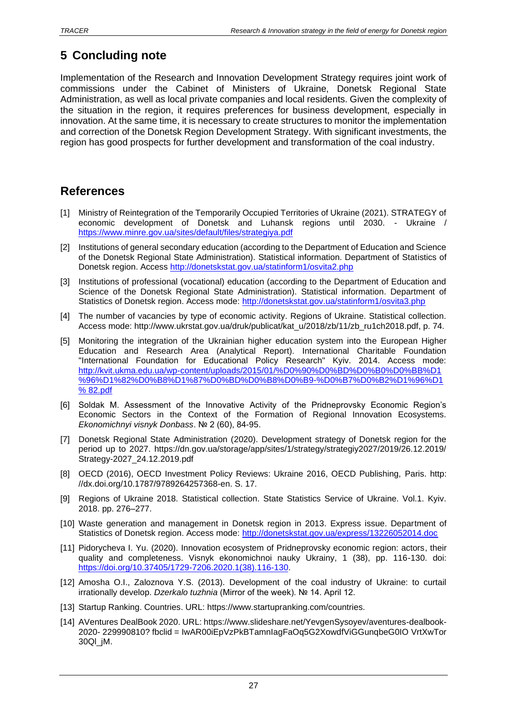# <span id="page-26-0"></span>**5 Concluding note**

Implementation of the Research and Innovation Development Strategy requires joint work of commissions under the Cabinet of Ministers of Ukraine, Donetsk Regional State Administration, as well as local private companies and local residents. Given the complexity of the situation in the region, it requires preferences for business development, especially in innovation. At the same time, it is necessary to create structures to monitor the implementation and correction of the Donetsk Region Development Strategy. With significant investments, the region has good prospects for further development and transformation of the coal industry.

## <span id="page-26-1"></span>**References**

- [1] Ministry of Reintegration of the Temporarily Occupied Territories of Ukraine (2021). STRATEGY of economic development of Donetsk and Luhansk regions until 2030. - Ukraine / <https://www.minre.gov.ua/sites/default/files/strategiya.pdf>
- [2] Institutions of general secondary education (according to the Department of Education and Science of the Donetsk Regional State Administration). Statistical information. Department of Statistics of Donetsk region. Access<http://donetskstat.gov.ua/statinform1/osvita2.php>
- [3] Institutions of professional (vocational) education (according to the Department of Education and Science of the Donetsk Regional State Administration). Statistical information. Department of Statistics of Donetsk region. Access mode:<http://donetskstat.gov.ua/statinform1/osvita3.php>
- [4] The number of vacancies by type of economic activity. Regions of Ukraine. Statistical collection. Access mode: http://www.ukrstat.gov.ua/druk/publicat/kat\_u/2018/zb/11/zb\_ru1ch2018.pdf, p. 74.
- [5] Monitoring the integration of the Ukrainian higher education system into the European Higher Education and Research Area (Analytical Report). International Charitable Foundation "International Foundation for Educational Policy Research" Kyiv. 2014. Access mode: [http://kvit.ukma.edu.ua/wp-content/uploads/2015/01/%D0%90%D0%BD%D0%B0%D0%BB%D1](http://kvit.ukma.edu.ua/wp-content/uploads/2015/01/%D0%90%D0%BD%D0%B0%D0%BB%D1%20%96%D1%82%D0%B8%D1%87%D0%BD%D0%B8%D0%B9-%D0%B7%D0%B2%D1%96%D1%20%25%2082.pdf)  [%96%D1%82%D0%B8%D1%87%D0%BD%D0%B8%D0%B9-%D0%B7%D0%B2%D1%96%D1](http://kvit.ukma.edu.ua/wp-content/uploads/2015/01/%D0%90%D0%BD%D0%B0%D0%BB%D1%20%96%D1%82%D0%B8%D1%87%D0%BD%D0%B8%D0%B9-%D0%B7%D0%B2%D1%96%D1%20%25%2082.pdf)  [% 82.pdf](http://kvit.ukma.edu.ua/wp-content/uploads/2015/01/%D0%90%D0%BD%D0%B0%D0%BB%D1%20%96%D1%82%D0%B8%D1%87%D0%BD%D0%B8%D0%B9-%D0%B7%D0%B2%D1%96%D1%20%25%2082.pdf)
- [6] Soldak M. Assessment of the Innovative Activity of the Pridneprovsky Economic Region's Economic Sectors in the Context of the Formation of Regional Innovation Ecosystems. *Ekonomichnyi visnyk Donbass*. № 2 (60), 84-95.
- [7] Donetsk Regional State Administration (2020). Development strategy of Donetsk region for the period up to 2027. https://dn.gov.ua/storage/app/sites/1/strategy/strategiy2027/2019/26.12.2019/ Strategy-2027\_24.12.2019.pdf
- [8] OECD (2016), OECD Investment Policy Reviews: Ukraine 2016, OECD Publishing, Paris. http: //dx.doi.org/10.1787/9789264257368-en. S. 17.
- [9] Regions of Ukraine 2018. Statistical collection. State Statistics Service of Ukraine. Vol.1. Kyiv. 2018. pp. 276–277.
- [10] Waste generation and management in Donetsk region in 2013. Express issue. Department of Statistics of Donetsk region. Access mode:<http://donetskstat.gov.ua/express/13226052014.doc>
- [11] Pidorycheva I. Yu. (2020). Innovation ecosystem of Pridneprovsky economic region: actors, their quality and completeness. Visnyk ekonomichnoi nauky Ukrainy, 1 (38), pp. 116-130. doi: [https://doi.org/10.37405/1729-7206.2020.1\(38\).116-130.](https://doi.org/10.37405/1729-7206.2020.1(38).116-130)
- [12] Amosha O.I., Zaloznova Y.S. (2013). Development of the coal industry of Ukraine: to curtail irrationally develop. *Dzerkalo tuzhnia* (Mirror of the week). № 14. April 12.
- [13] Startup Ranking. Countries. URL: https://www.startupranking.com/countries.
- [14] AVentures DealBook 2020. URL: https://www.slideshare.net/YevgenSysoyev/aventures-dealbook-2020- 229990810? fbclid = IwAR00iEpVzPkBTamnIagFaOq5G2XowdfViGGunqbeG0IO VrtXwTor 30Ql\_jM.